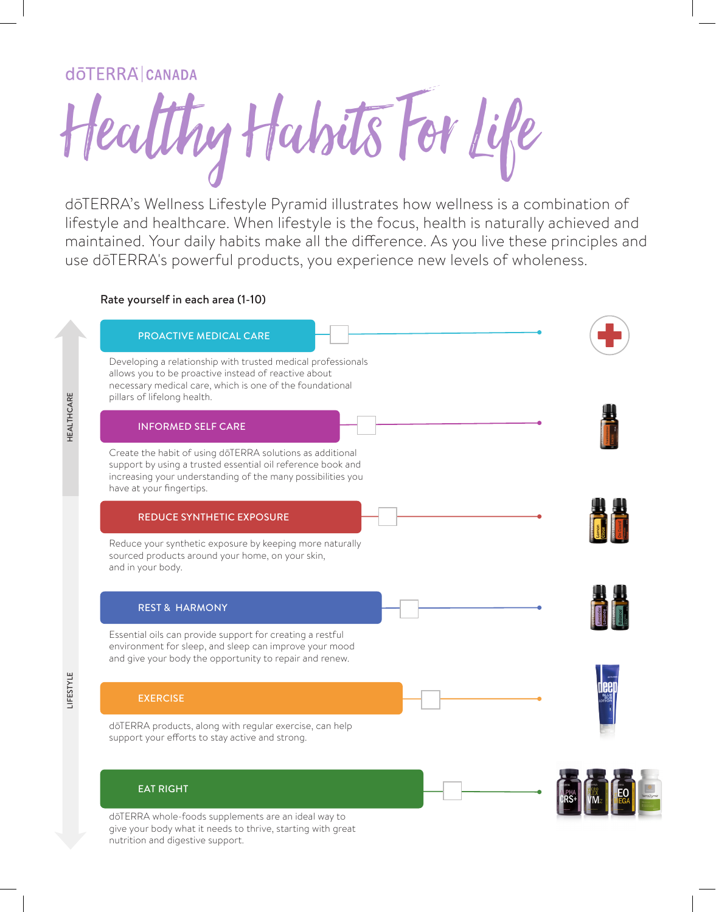## **dōTERRA CANADA**

LIFESTYLE HEALTHCARE

LIFESTYLE

**HEALTHCARE** 

Healthy Habits For Life

dōTERRA's Wellness Lifestyle Pyramid illustrates how wellness is a combination of lifestyle and healthcare. When lifestyle is the focus, health is naturally achieved and maintained. Your daily habits make all the difference. As you live these principles and use dōTERRA's powerful products, you experience new levels of wholeness.

#### Rate yourself in each area (1-10)



dōTERRA whole-foods supplements are an ideal way to give your body what it needs to thrive, starting with great nutrition and digestive support.